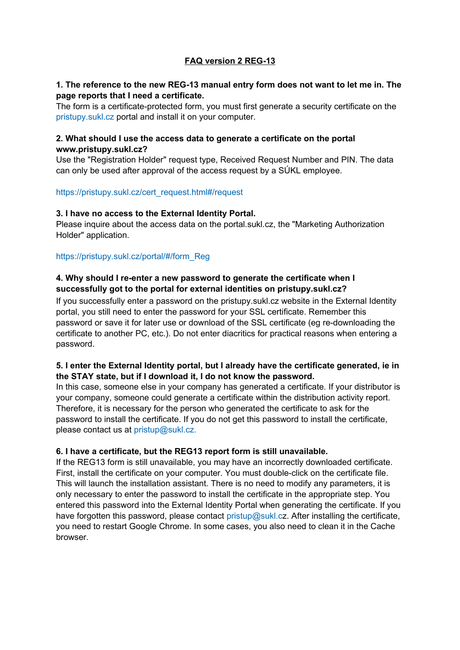# **FAQ version 2 REG-13**

### **1. The reference to the new REG-13 manual entry form does not want to let me in. The page reports that I need a certificate.**

The form is a certificate-protected form, you must first generate a security certificate on the pristupy.sukl.cz portal and install it on your computer.

## **2. What should I use the access data to generate a certificate on the portal www.pristupy.sukl.cz?**

Use the "Registration Holder" request type, Received Request Number and PIN. The data can only be used after approval of the access request by a SÚKL employee.

#### https://pristupy.sukl.cz/cert\_request.html#/request

#### **3. I have no access to the External Identity Portal.**

Please inquire about the access data on the portal.sukl.cz, the "Marketing Authorization Holder" application.

#### https://pristupy.sukl.cz/portal/#/form\_Reg

## **4. Why should I re-enter a new password to generate the certificate when I successfully got to the portal for external identities on pristupy.sukl.cz?**

If you successfully enter a password on the pristupy.sukl.cz website in the External Identity portal, you still need to enter the password for your SSL certificate. Remember this password or save it for later use or download of the SSL certificate (eg re-downloading the certificate to another PC, etc.). Do not enter diacritics for practical reasons when entering a password.

## **5. I enter the External Identity portal, but I already have the certificate generated, ie in the STAY state, but if I download it, I do not know the password.**

In this case, someone else in your company has generated a certificate. If your distributor is your company, someone could generate a certificate within the distribution activity report. Therefore, it is necessary for the person who generated the certificate to ask for the password to install the certificate. If you do not get this password to install the certificate, please contact us at pristup@sukl.cz.

#### **6. I have a certificate, but the REG13 report form is still unavailable.**

If the REG13 form is still unavailable, you may have an incorrectly downloaded certificate. First, install the certificate on your computer. You must double-click on the certificate file. This will launch the installation assistant. There is no need to modify any parameters, it is only necessary to enter the password to install the certificate in the appropriate step. You entered this password into the External Identity Portal when generating the certificate. If you have forgotten this password, please contact pristup@sukl.cz. After installing the certificate, you need to restart Google Chrome. In some cases, you also need to clean it in the Cache browser.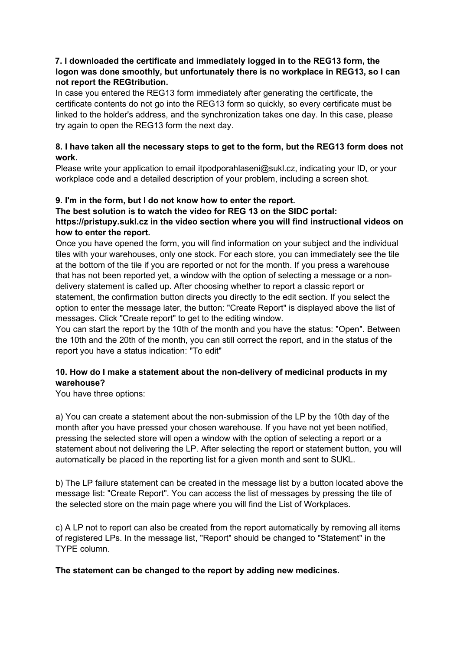## **7. I downloaded the certificate and immediately logged in to the REG13 form, the logon was done smoothly, but unfortunately there is no workplace in REG13, so I can not report the REGtribution.**

In case you entered the REG13 form immediately after generating the certificate, the certificate contents do not go into the REG13 form so quickly, so every certificate must be linked to the holder's address, and the synchronization takes one day. In this case, please try again to open the REG13 form the next day.

## **8. I have taken all the necessary steps to get to the form, but the REG13 form does not work.**

Please write your application to email itpodporahlaseni@sukl.cz, indicating your ID, or your workplace code and a detailed description of your problem, including a screen shot.

# **9. I'm in the form, but I do not know how to enter the report.**

### **The best solution is to watch the video for REG 13 on the SIDC portal: https://pristupy.sukl.cz in the video section where you will find instructional videos on how to enter the report.**

Once you have opened the form, you will find information on your subject and the individual tiles with your warehouses, only one stock. For each store, you can immediately see the tile at the bottom of the tile if you are reported or not for the month. If you press a warehouse that has not been reported yet, a window with the option of selecting a message or a nondelivery statement is called up. After choosing whether to report a classic report or statement, the confirmation button directs you directly to the edit section. If you select the option to enter the message later, the button: "Create Report" is displayed above the list of messages. Click "Create report" to get to the editing window.

You can start the report by the 10th of the month and you have the status: "Open". Between the 10th and the 20th of the month, you can still correct the report, and in the status of the report you have a status indication: "To edit"

# **10. How do I make a statement about the non-delivery of medicinal products in my warehouse?**

You have three options:

a) You can create a statement about the non-submission of the LP by the 10th day of the month after you have pressed your chosen warehouse. If you have not yet been notified, pressing the selected store will open a window with the option of selecting a report or a statement about not delivering the LP. After selecting the report or statement button, you will automatically be placed in the reporting list for a given month and sent to SUKL.

b) The LP failure statement can be created in the message list by a button located above the message list: "Create Report". You can access the list of messages by pressing the tile of the selected store on the main page where you will find the List of Workplaces.

c) A LP not to report can also be created from the report automatically by removing all items of registered LPs. In the message list, "Report" should be changed to "Statement" in the TYPE column.

#### **The statement can be changed to the report by adding new medicines.**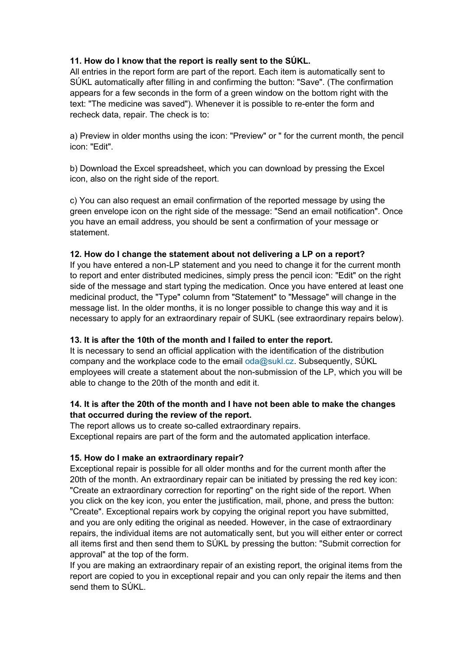## **11. How do I know that the report is really sent to the SÚKL.**

All entries in the report form are part of the report. Each item is automatically sent to SÚKL automatically after filling in and confirming the button: "Save". (The confirmation appears for a few seconds in the form of a green window on the bottom right with the text: "The medicine was saved"). Whenever it is possible to re-enter the form and recheck data, repair. The check is to:

a) Preview in older months using the icon: "Preview" or " for the current month, the pencil icon: "Edit".

b) Download the Excel spreadsheet, which you can download by pressing the Excel icon, also on the right side of the report.

c) You can also request an email confirmation of the reported message by using the green envelope icon on the right side of the message: "Send an email notification". Once you have an email address, you should be sent a confirmation of your message or statement.

## **12. How do I change the statement about not delivering a LP on a report?**

If you have entered a non-LP statement and you need to change it for the current month to report and enter distributed medicines, simply press the pencil icon: "Edit" on the right side of the message and start typing the medication. Once you have entered at least one medicinal product, the "Type" column from "Statement" to "Message" will change in the message list. In the older months, it is no longer possible to change this way and it is necessary to apply for an extraordinary repair of SUKL (see extraordinary repairs below).

#### **13. It is after the 10th of the month and I failed to enter the report.**

It is necessary to send an official application with the identification of the distribution company and the workplace code to the email  $\alpha$ da@sukl.cz. Subsequently, SUKL employees will create a statement about the non-submission of the LP, which you will be able to change to the 20th of the month and edit it.

## **14. It is after the 20th of the month and I have not been able to make the changes that occurred during the review of the report.**

The report allows us to create so-called extraordinary repairs. Exceptional repairs are part of the form and the automated application interface.

#### **15. How do I make an extraordinary repair?**

Exceptional repair is possible for all older months and for the current month after the 20th of the month. An extraordinary repair can be initiated by pressing the red key icon: "Create an extraordinary correction for reporting" on the right side of the report. When you click on the key icon, you enter the justification, mail, phone, and press the button: "Create". Exceptional repairs work by copying the original report you have submitted, and you are only editing the original as needed. However, in the case of extraordinary repairs, the individual items are not automatically sent, but you will either enter or correct all items first and then send them to SÚKL by pressing the button: "Submit correction for approval" at the top of the form.

If you are making an extraordinary repair of an existing report, the original items from the report are copied to you in exceptional repair and you can only repair the items and then send them to SÚKL.